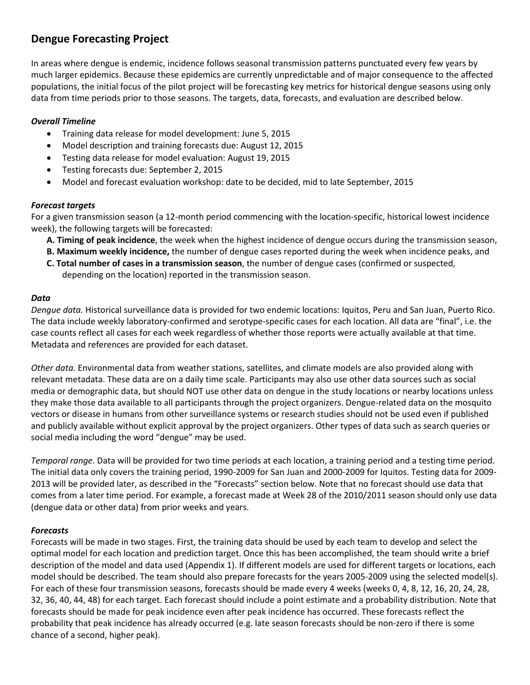## **Dengue Forecasting Project**

In areas where dengue is endemic, incidence follows seasonal transmission patterns punctuated every few years by much larger epidemics. Because these epidemics are currently unpredictable and of major consequence to the affected populations, the initial focus of the pilot project will be forecasting key metrics for historical dengue seasons using only data from time periods prior to those seasons. The targets, data, forecasts, and evaluation are described below.

### *Overall Timeline*

- Training data release for model development: June 5, 2015
- Model description and training forecasts due: August 12, 2015
- Testing data release for model evaluation: August 19, 2015
- Testing forecasts due: September 2, 2015
- Model and forecast evaluation workshop: date to be decided, mid to late September, 2015

### *Forecast targets*

For a given transmission season (a 12-month period commencing with the location-specific, historical lowest incidence week), the following targets will be forecasted:

- **A. Timing of peak incidence**, the week when the highest incidence of dengue occurs during the transmission season,
- **B. Maximum weekly incidence,** the number of dengue cases reported during the week when incidence peaks, and
- **C. Total number of cases in a transmission season**, the number of dengue cases (confirmed or suspected, depending on the location) reported in the transmission season.

### *Data*

*Dengue data.* Historical surveillance data is provided for two endemic locations: Iquitos, Peru and San Juan, Puerto Rico. The data include weekly laboratory-confirmed and serotype-specific cases for each location. All data are "final", i.e. the case counts reflect all cases for each week regardless of whether those reports were actually available at that time. Metadata and references are provided for each dataset.

*Other data.* Environmental data from weather stations, satellites, and climate models are also provided along with relevant metadata. These data are on a daily time scale. Participants may also use other data sources such as social media or demographic data, but should NOT use other data on dengue in the study locations or nearby locations unless they make those data available to all participants through the project organizers. Dengue-related data on the mosquito vectors or disease in humans from other surveillance systems or research studies should not be used even if published and publicly available without explicit approval by the project organizers. Other types of data such as search queries or social media including the word "dengue" may be used.

*Temporal range.* Data will be provided for two time periods at each location, a training period and a testing time period. The initial data only covers the training period, 1990-2009 for San Juan and 2000-2009 for Iquitos. Testing data for 2009- 2013 will be provided later, as described in the "Forecasts" section below. Note that no forecast should use data that comes from a later time period. For example, a forecast made at Week 28 of the 2010/2011 season should only use data (dengue data or other data) from prior weeks and years.

### *Forecasts*

Forecasts will be made in two stages. First, the training data should be used by each team to develop and select the optimal model for each location and prediction target. Once this has been accomplished, the team should write a brief description of the model and data used (Appendix 1). If different models are used for different targets or locations, each model should be described. The team should also prepare forecasts for the years 2005-2009 using the selected model(s). For each of these four transmission seasons, forecasts should be made every 4 weeks (weeks 0, 4, 8, 12, 16, 20, 24, 28, 32, 36, 40, 44, 48) for each target. Each forecast should include a point estimate and a probability distribution. Note that forecasts should be made for peak incidence even after peak incidence has occurred. These forecasts reflect the probability that peak incidence has already occurred (e.g. late season forecasts should be non-zero if there is some chance of a second, higher peak).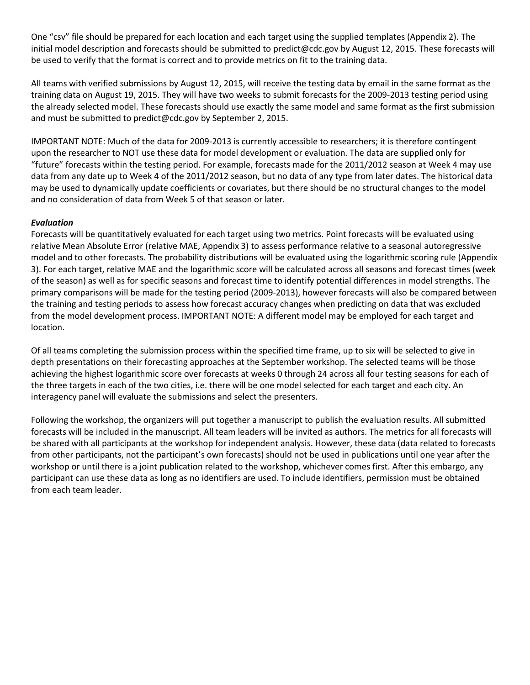One "csv" file should be prepared for each location and each target using the supplied templates (Appendix 2). The initial model description and forecasts should be submitted to predict@cdc.gov by August 12, 2015. These forecasts will be used to verify that the format is correct and to provide metrics on fit to the training data.

All teams with verified submissions by August 12, 2015, will receive the testing data by email in the same format as the training data on August 19, 2015. They will have two weeks to submit forecasts for the 2009-2013 testing period using the already selected model. These forecasts should use exactly the same model and same format as the first submission and must be submitted to predict@cdc.gov by September 2, 2015.

IMPORTANT NOTE: Much of the data for 2009-2013 is currently accessible to researchers; it is therefore contingent upon the researcher to NOT use these data for model development or evaluation. The data are supplied only for "future" forecasts within the testing period. For example, forecasts made for the 2011/2012 season at Week 4 may use data from any date up to Week 4 of the 2011/2012 season, but no data of any type from later dates. The historical data may be used to dynamically update coefficients or covariates, but there should be no structural changes to the model and no consideration of data from Week 5 of that season or later.

### *Evaluation*

Forecasts will be quantitatively evaluated for each target using two metrics. Point forecasts will be evaluated using relative Mean Absolute Error (relative MAE, Appendix 3) to assess performance relative to a seasonal autoregressive model and to other forecasts. The probability distributions will be evaluated using the logarithmic scoring rule (Appendix 3). For each target, relative MAE and the logarithmic score will be calculated across all seasons and forecast times (week of the season) as well as for specific seasons and forecast time to identify potential differences in model strengths. The primary comparisons will be made for the testing period (2009-2013), however forecasts will also be compared between the training and testing periods to assess how forecast accuracy changes when predicting on data that was excluded from the model development process. IMPORTANT NOTE: A different model may be employed for each target and location.

Of all teams completing the submission process within the specified time frame, up to six will be selected to give in depth presentations on their forecasting approaches at the September workshop. The selected teams will be those achieving the highest logarithmic score over forecasts at weeks 0 through 24 across all four testing seasons for each of the three targets in each of the two cities, i.e. there will be one model selected for each target and each city. An interagency panel will evaluate the submissions and select the presenters.

Following the workshop, the organizers will put together a manuscript to publish the evaluation results. All submitted forecasts will be included in the manuscript. All team leaders will be invited as authors. The metrics for all forecasts will be shared with all participants at the workshop for independent analysis. However, these data (data related to forecasts from other participants, not the participant's own forecasts) should not be used in publications until one year after the workshop or until there is a joint publication related to the workshop, whichever comes first. After this embargo, any participant can use these data as long as no identifiers are used. To include identifiers, permission must be obtained from each team leader.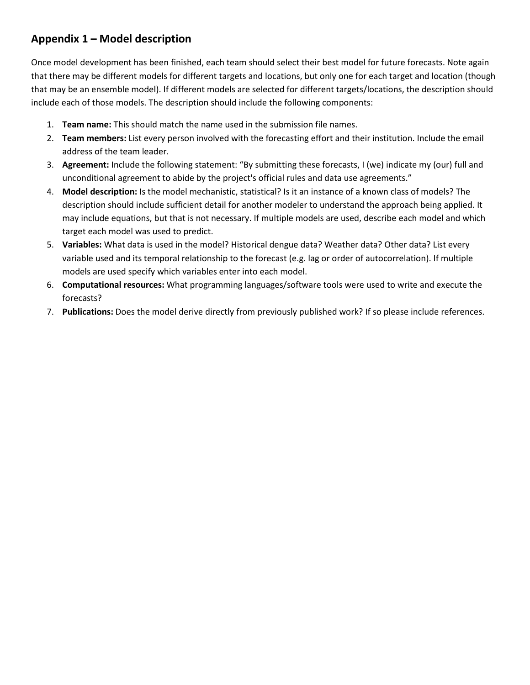# **Appendix 1 – Model description**

Once model development has been finished, each team should select their best model for future forecasts. Note again that there may be different models for different targets and locations, but only one for each target and location (though that may be an ensemble model). If different models are selected for different targets/locations, the description should include each of those models. The description should include the following components:

- 1. **Team name:** This should match the name used in the submission file names.
- 2. **Team members:** List every person involved with the forecasting effort and their institution. Include the email address of the team leader.
- 3. **Agreement:** Include the following statement: "By submitting these forecasts, I (we) indicate my (our) full and unconditional agreement to abide by the project's official rules and data use agreements."
- 4. **Model description:** Is the model mechanistic, statistical? Is it an instance of a known class of models? The description should include sufficient detail for another modeler to understand the approach being applied. It may include equations, but that is not necessary. If multiple models are used, describe each model and which target each model was used to predict.
- 5. **Variables:** What data is used in the model? Historical dengue data? Weather data? Other data? List every variable used and its temporal relationship to the forecast (e.g. lag or order of autocorrelation). If multiple models are used specify which variables enter into each model.
- 6. **Computational resources:** What programming languages/software tools were used to write and execute the forecasts?
- 7. **Publications:** Does the model derive directly from previously published work? If so please include references.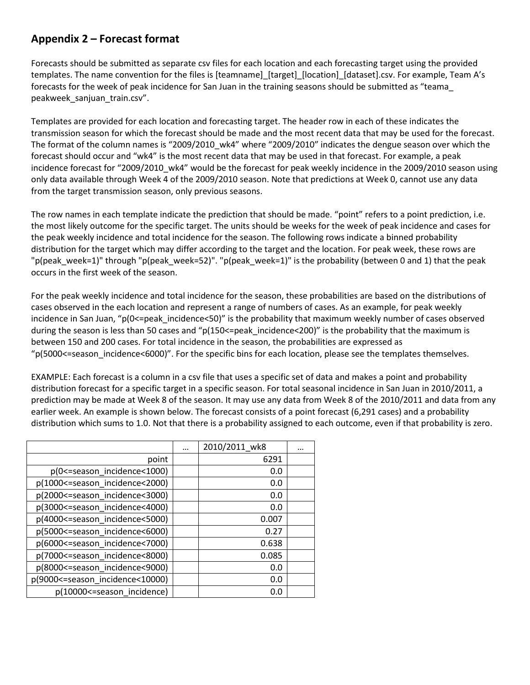### **Appendix 2 – Forecast format**

Forecasts should be submitted as separate csv files for each location and each forecasting target using the provided templates. The name convention for the files is [teamname] [target] [location] [dataset].csv. For example, Team A's forecasts for the week of peak incidence for San Juan in the training seasons should be submitted as "teama\_ peakweek\_sanjuan\_train.csv".

Templates are provided for each location and forecasting target. The header row in each of these indicates the transmission season for which the forecast should be made and the most recent data that may be used for the forecast. The format of the column names is "2009/2010\_wk4" where "2009/2010" indicates the dengue season over which the forecast should occur and "wk4" is the most recent data that may be used in that forecast. For example, a peak incidence forecast for "2009/2010\_wk4" would be the forecast for peak weekly incidence in the 2009/2010 season using only data available through Week 4 of the 2009/2010 season. Note that predictions at Week 0, cannot use any data from the target transmission season, only previous seasons.

The row names in each template indicate the prediction that should be made. "point" refers to a point prediction, i.e. the most likely outcome for the specific target. The units should be weeks for the week of peak incidence and cases for the peak weekly incidence and total incidence for the season. The following rows indicate a binned probability distribution for the target which may differ according to the target and the location. For peak week, these rows are "p(peak\_week=1)" through "p(peak\_week=52)". "p(peak\_week=1)" is the probability (between 0 and 1) that the peak occurs in the first week of the season.

For the peak weekly incidence and total incidence for the season, these probabilities are based on the distributions of cases observed in the each location and represent a range of numbers of cases. As an example, for peak weekly incidence in San Juan, " $p(0\leq p$ eak incidence $\leq 50$ " is the probability that maximum weekly number of cases observed during the season is less than 50 cases and "p(150<=peak incidence<200)" is the probability that the maximum is between 150 and 200 cases. For total incidence in the season, the probabilities are expressed as "p(5000<=season\_incidence<6000)". For the specific bins for each location, please see the templates themselves.

EXAMPLE: Each forecast is a column in a csv file that uses a specific set of data and makes a point and probability distribution forecast for a specific target in a specific season. For total seasonal incidence in San Juan in 2010/2011, a prediction may be made at Week 8 of the season. It may use any data from Week 8 of the 2010/2011 and data from any earlier week. An example is shown below. The forecast consists of a point forecast (6,291 cases) and a probability distribution which sums to 1.0. Not that there is a probability assigned to each outcome, even if that probability is zero.

|                                     | <br>2010/2011_wk8 |  |
|-------------------------------------|-------------------|--|
| point                               | 6291              |  |
| p(0 <= season_incidence < 1000)     | 0.0               |  |
| p(1000 <= season_incidence < 2000)  | 0.0               |  |
| p(2000 <= season_incidence < 3000)  | 0.0               |  |
| p(3000 <= season_incidence < 4000)  | 0.0               |  |
| p(4000 <= season_incidence < 5000)  | 0.007             |  |
| p(5000 <= season_incidence < 6000)  | 0.27              |  |
| p(6000 <= season_incidence < 7000)  | 0.638             |  |
| p(7000 <= season incidence < 8000)  | 0.085             |  |
| p(8000 <= season_incidence < 9000)  | 0.0               |  |
| p(9000 <= season_incidence < 10000) | 0.0               |  |
| p(10000 <= season_incidence)        | 0.0               |  |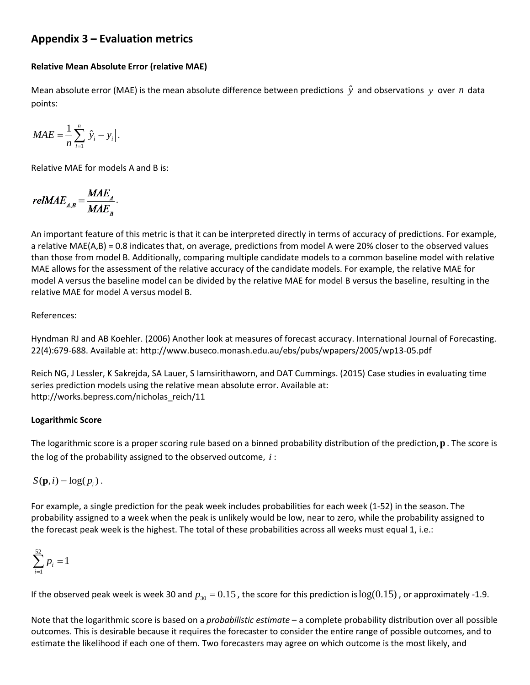### **Appendix 3 – Evaluation metrics**

### **Relative Mean Absolute Error (relative MAE)**

Mean absolute error (MAE) is the mean absolute difference between predictions  $\hat{y}$  and observations  $y$  over  $n$  data points:

$$
MAE = \frac{1}{n} \sum_{i=1}^{n} \left| \hat{y}_i - y_i \right|.
$$

Relative MAE for models A and B is:

$$
reluMAE_{A,B} = \frac{MAE_A}{MAE_B}.
$$

An important feature of this metric is that it can be interpreted directly in terms of accuracy of predictions. For example, a relative MAE(A,B) = 0.8 indicates that, on average, predictions from model A were 20% closer to the observed values than those from model B. Additionally, comparing multiple candidate models to a common baseline model with relative MAE allows for the assessment of the relative accuracy of the candidate models. For example, the relative MAE for model A versus the baseline model can be divided by the relative MAE for model B versus the baseline, resulting in the relative MAE for model A versus model B.

### References:

Hyndman RJ and AB Koehler. (2006) Another look at measures of forecast accuracy. International Journal of Forecasting. 22(4):679-688. Available at: http://www.buseco.monash.edu.au/ebs/pubs/wpapers/2005/wp13-05.pdf

Reich NG, J Lessler, K Sakrejda, SA Lauer, S Iamsirithaworn, and DAT Cummings. (2015) Case studies in evaluating time series prediction models using the relative mean absolute error. Available at: http://works.bepress.com/nicholas\_reich/11

#### **Logarithmic Score**

The logarithmic score is a proper scoring rule based on a binned probability distribution of the prediction,**p** . The score is the log of the probability assigned to the observed outcome, *i* :

 $S(\mathbf{p}, i) = \log(p_i)$ .

For example, a single prediction for the peak week includes probabilities for each week (1-52) in the season. The probability assigned to a week when the peak is unlikely would be low, near to zero, while the probability assigned to the forecast peak week is the highest. The total of these probabilities across all weeks must equal 1, i.e.:

$$
\sum_{i=1}^{52} p_i = 1
$$

If the observed peak week is week 30 and  $p_{30} = 0.15$ , the score for this prediction is  $log(0.15)$ , or approximately -1.9.

Note that the logarithmic score is based on a *probabilistic estimate* – a complete probability distribution over all possible outcomes. This is desirable because it requires the forecaster to consider the entire range of possible outcomes, and to estimate the likelihood if each one of them. Two forecasters may agree on which outcome is the most likely, and